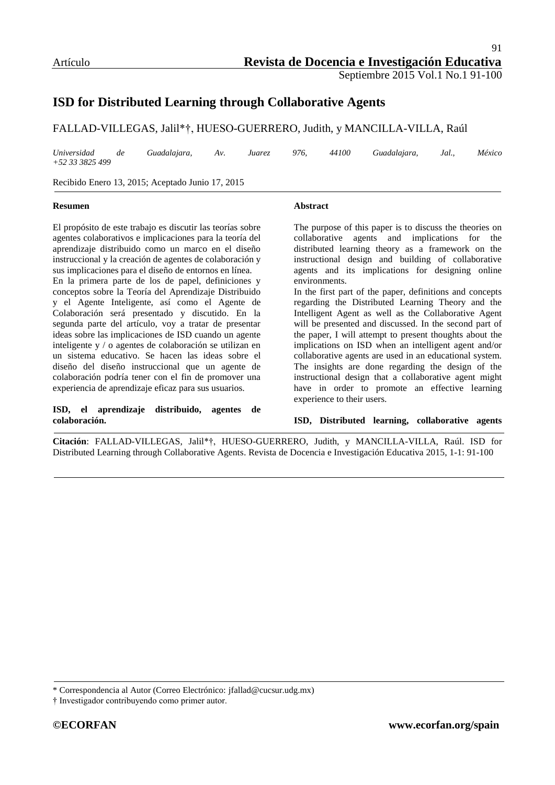# **ISD for Distributed Learning through Collaborative Agents**

FALLAD-VILLEGAS, Jalil\*†, HUESO-GUERRERO, Judith, y MANCILLA-VILLA, Raúl

*Universidad de Guadalajara, Av. Juarez 976, 44100 Guadalajara, Jal., México +52 33 3825 499*

Recibido Enero 13, 2015; Aceptado Junio 17, 2015

#### **Resumen**

**Abstract**

El propósito de este trabajo es discutir las teorías sobre agentes colaborativos e implicaciones para la teoría del aprendizaje distribuido como un marco en el diseño instruccional y la creación de agentes de colaboración y sus implicaciones para el diseño de entornos en línea.

En la primera parte de los de papel, definiciones y conceptos sobre la Teoría del Aprendizaje Distribuido y el Agente Inteligente, así como el Agente de Colaboración será presentado y discutido. En la segunda parte del artículo, voy a tratar de presentar ideas sobre las implicaciones de ISD cuando un agente inteligente y / o agentes de colaboración se utilizan en un sistema educativo. Se hacen las ideas sobre el diseño del diseño instruccional que un agente de colaboración podría tener con el fin de promover una experiencia de aprendizaje eficaz para sus usuarios.

#### **ISD, el aprendizaje distribuido, agentes de colaboración.**

The purpose of this paper is to discuss the theories on collaborative agents and implications for the distributed learning theory as a framework on the instructional design and building of collaborative agents and its implications for designing online environments.

In the first part of the paper, definitions and concepts regarding the Distributed Learning Theory and the Intelligent Agent as well as the Collaborative Agent will be presented and discussed. In the second part of the paper, I will attempt to present thoughts about the implications on ISD when an intelligent agent and/or collaborative agents are used in an educational system. The insights are done regarding the design of the instructional design that a collaborative agent might have in order to promote an effective learning experience to their users.

**ISD, Distributed learning, collaborative agents**

**Citación**: FALLAD-VILLEGAS, Jalil\*†, HUESO-GUERRERO, Judith, y MANCILLA-VILLA, Raúl. ISD for Distributed Learning through Collaborative Agents. Revista de Docencia e Investigación Educativa 2015, 1-1: 91-100

\* Correspondencia al Autor (Correo Electrónico: [jfallad@cucsur.udg.mx\)](mailto:jfallad@cucsur.udg.mx)

<sup>†</sup> Investigador contribuyendo como primer autor.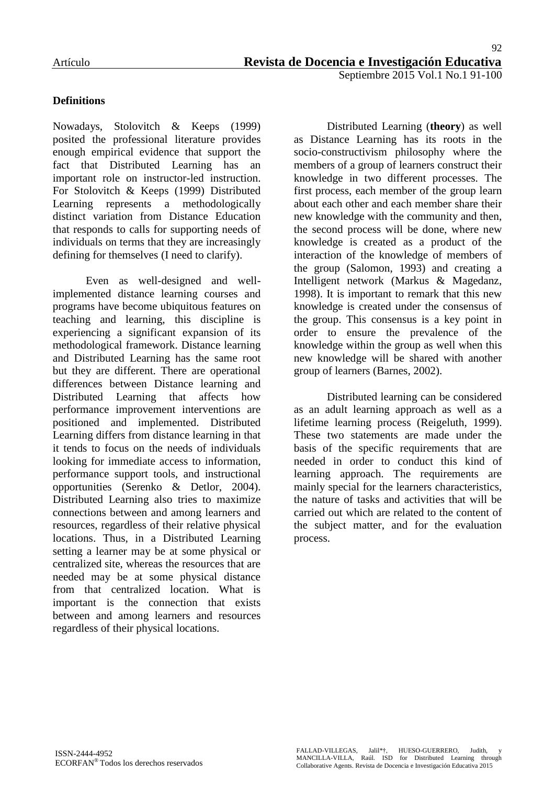## **Definitions**

Nowadays, Stolovitch & Keeps (1999) posited the professional literature provides enough empirical evidence that support the fact that Distributed Learning has an important role on instructor-led instruction. For Stolovitch & Keeps (1999) Distributed Learning represents a methodologically distinct variation from Distance Education that responds to calls for supporting needs of individuals on terms that they are increasingly defining for themselves (I need to clarify).

Even as well-designed and wellimplemented distance learning courses and programs have become ubiquitous features on teaching and learning, this discipline is experiencing a significant expansion of its methodological framework. Distance learning and Distributed Learning has the same root but they are different. There are operational differences between Distance learning and Distributed Learning that affects how performance improvement interventions are positioned and implemented. Distributed Learning differs from distance learning in that it tends to focus on the needs of individuals looking for immediate access to information, performance support tools, and instructional opportunities (Serenko & Detlor, 2004). Distributed Learning also tries to maximize connections between and among learners and resources, regardless of their relative physical locations. Thus, in a Distributed Learning setting a learner may be at some physical or centralized site, whereas the resources that are needed may be at some physical distance from that centralized location. What is important is the connection that exists between and among learners and resources regardless of their physical locations.

Distributed Learning (**theory**) as well as Distance Learning has its roots in the socio-constructivism philosophy where the members of a group of learners construct their knowledge in two different processes. The first process, each member of the group learn about each other and each member share their new knowledge with the community and then, the second process will be done, where new knowledge is created as a product of the interaction of the knowledge of members of the group (Salomon, 1993) and creating a Intelligent network (Markus & Magedanz, 1998). It is important to remark that this new knowledge is created under the consensus of the group. This consensus is a key point in order to ensure the prevalence of the knowledge within the group as well when this new knowledge will be shared with another group of learners (Barnes, 2002).

Distributed learning can be considered as an adult learning approach as well as a lifetime learning process (Reigeluth, 1999). These two statements are made under the basis of the specific requirements that are needed in order to conduct this kind of learning approach. The requirements are mainly special for the learners characteristics, the nature of tasks and activities that will be carried out which are related to the content of the subject matter, and for the evaluation process.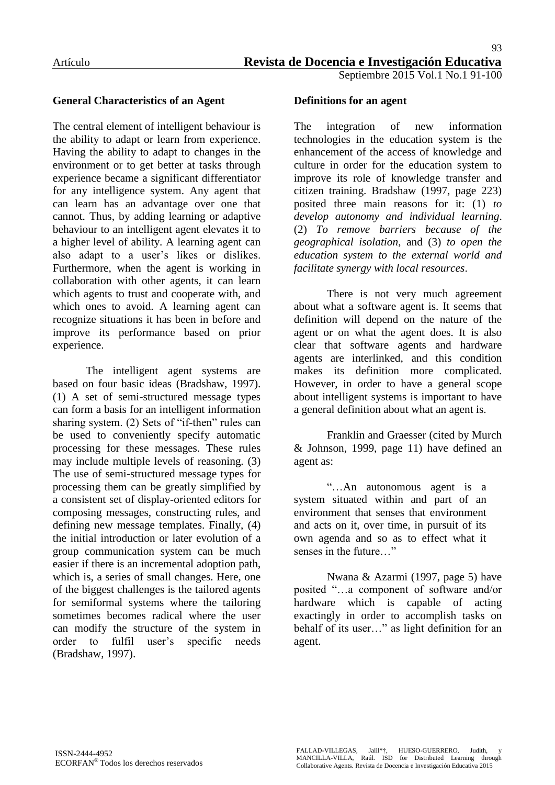## **General Characteristics of an Agent**

The central element of intelligent behaviour is the ability to adapt or learn from experience. Having the ability to adapt to changes in the environment or to get better at tasks through experience became a significant differentiator for any intelligence system. Any agent that can learn has an advantage over one that cannot. Thus, by adding learning or adaptive behaviour to an intelligent agent elevates it to a higher level of ability. A learning agent can also adapt to a user"s likes or dislikes. Furthermore, when the agent is working in collaboration with other agents, it can learn which agents to trust and cooperate with, and which ones to avoid. A learning agent can recognize situations it has been in before and improve its performance based on prior experience.

The intelligent agent systems are based on four basic ideas (Bradshaw, 1997). (1) A set of semi-structured message types can form a basis for an intelligent information sharing system. (2) Sets of "if-then" rules can be used to conveniently specify automatic processing for these messages. These rules may include multiple levels of reasoning. (3) The use of semi-structured message types for processing them can be greatly simplified by a consistent set of display-oriented editors for composing messages, constructing rules, and defining new message templates. Finally, (4) the initial introduction or later evolution of a group communication system can be much easier if there is an incremental adoption path, which is, a series of small changes. Here, one of the biggest challenges is the tailored agents for semiformal systems where the tailoring sometimes becomes radical where the user can modify the structure of the system in order to fulfil user"s specific needs (Bradshaw, 1997).

#### **Definitions for an agent**

The integration of new information technologies in the education system is the enhancement of the access of knowledge and culture in order for the education system to improve its role of knowledge transfer and citizen training. Bradshaw (1997, page 223) posited three main reasons for it: (1) *to develop autonomy and individual learning*. (2) *To remove barriers because of the geographical isolation*, and (3) *to open the education system to the external world and facilitate synergy with local resources*.

There is not very much agreement about what a software agent is. It seems that definition will depend on the nature of the agent or on what the agent does. It is also clear that software agents and hardware agents are interlinked, and this condition makes its definition more complicated. However, in order to have a general scope about intelligent systems is important to have a general definition about what an agent is.

Franklin and Graesser (cited by Murch & Johnson, 1999, page 11) have defined an agent as:

"…An autonomous agent is a system situated within and part of an environment that senses that environment and acts on it, over time, in pursuit of its own agenda and so as to effect what it senses in the future…"

Nwana & Azarmi (1997, page 5) have posited "…a component of software and/or hardware which is capable of acting exactingly in order to accomplish tasks on behalf of its user…" as light definition for an agent.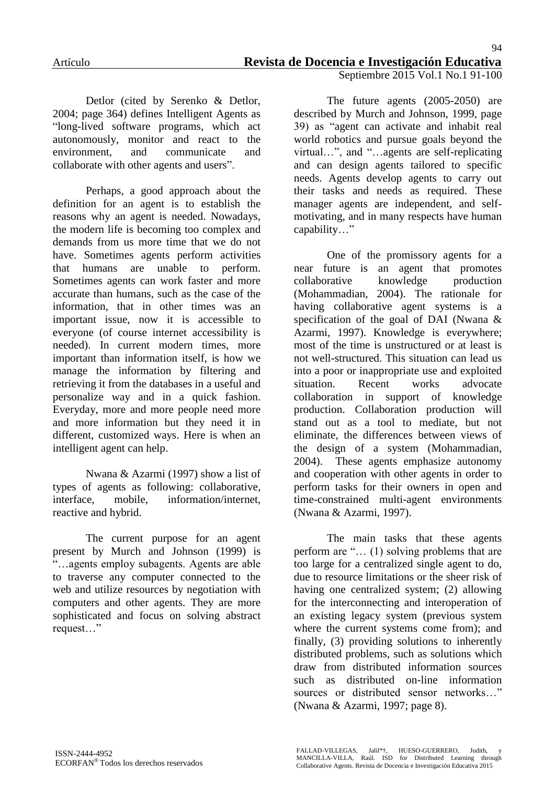Detlor (cited by Serenko & Detlor, 2004; page 364) defines Intelligent Agents as "long-lived software programs, which act autonomously, monitor and react to the environment, and communicate and collaborate with other agents and users".

Perhaps, a good approach about the definition for an agent is to establish the reasons why an agent is needed. Nowadays, the modern life is becoming too complex and demands from us more time that we do not have. Sometimes agents perform activities that humans are unable to perform. Sometimes agents can work faster and more accurate than humans, such as the case of the information, that in other times was an important issue, now it is accessible to everyone (of course internet accessibility is needed). In current modern times, more important than information itself, is how we manage the information by filtering and retrieving it from the databases in a useful and personalize way and in a quick fashion. Everyday, more and more people need more and more information but they need it in different, customized ways. Here is when an intelligent agent can help.

Nwana & Azarmi (1997) show a list of types of agents as following: collaborative, interface, mobile, information/internet, reactive and hybrid.

The current purpose for an agent present by Murch and Johnson (1999) is "…agents employ subagents. Agents are able to traverse any computer connected to the web and utilize resources by negotiation with computers and other agents. They are more sophisticated and focus on solving abstract request…"

The future agents (2005-2050) are described by Murch and Johnson, 1999, page 39) as "agent can activate and inhabit real world robotics and pursue goals beyond the virtual…", and "…agents are self-replicating and can design agents tailored to specific needs. Agents develop agents to carry out their tasks and needs as required. These manager agents are independent, and selfmotivating, and in many respects have human capability…"

One of the promissory agents for a near future is an agent that promotes collaborative knowledge production (Mohammadian, 2004). The rationale for having collaborative agent systems is a specification of the goal of DAI (Nwana & Azarmi, 1997). Knowledge is everywhere; most of the time is unstructured or at least is not well-structured. This situation can lead us into a poor or inappropriate use and exploited situation. Recent works advocate collaboration in support of knowledge production. Collaboration production will stand out as a tool to mediate, but not eliminate, the differences between views of the design of a system (Mohammadian, 2004). These agents emphasize autonomy and cooperation with other agents in order to perform tasks for their owners in open and time-constrained multi-agent environments (Nwana & Azarmi, 1997).

The main tasks that these agents perform are "… (1) solving problems that are too large for a centralized single agent to do, due to resource limitations or the sheer risk of having one centralized system; (2) allowing for the interconnecting and interoperation of an existing legacy system (previous system where the current systems come from); and finally, (3) providing solutions to inherently distributed problems, such as solutions which draw from distributed information sources such as distributed on-line information sources or distributed sensor networks…" (Nwana & Azarmi, 1997; page 8).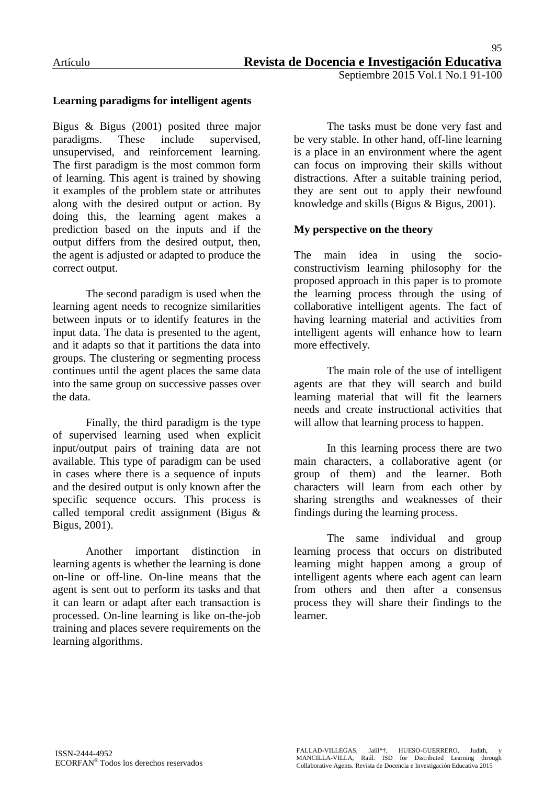#### **Learning paradigms for intelligent agents**

Bigus & Bigus (2001) posited three major paradigms. These include supervised, unsupervised, and reinforcement learning. The first paradigm is the most common form of learning. This agent is trained by showing it examples of the problem state or attributes along with the desired output or action. By doing this, the learning agent makes a prediction based on the inputs and if the output differs from the desired output, then, the agent is adjusted or adapted to produce the correct output.

The second paradigm is used when the learning agent needs to recognize similarities between inputs or to identify features in the input data. The data is presented to the agent, and it adapts so that it partitions the data into groups. The clustering or segmenting process continues until the agent places the same data into the same group on successive passes over the data.

Finally, the third paradigm is the type of supervised learning used when explicit input/output pairs of training data are not available. This type of paradigm can be used in cases where there is a sequence of inputs and the desired output is only known after the specific sequence occurs. This process is called temporal credit assignment (Bigus & Bigus, 2001).

Another important distinction in learning agents is whether the learning is done on-line or off-line. On-line means that the agent is sent out to perform its tasks and that it can learn or adapt after each transaction is processed. On-line learning is like on-the-job training and places severe requirements on the learning algorithms.

The tasks must be done very fast and be very stable. In other hand, off-line learning is a place in an environment where the agent can focus on improving their skills without distractions. After a suitable training period, they are sent out to apply their newfound knowledge and skills (Bigus & Bigus, 2001).

#### **My perspective on the theory**

The main idea in using the socioconstructivism learning philosophy for the proposed approach in this paper is to promote the learning process through the using of collaborative intelligent agents. The fact of having learning material and activities from intelligent agents will enhance how to learn more effectively.

The main role of the use of intelligent agents are that they will search and build learning material that will fit the learners needs and create instructional activities that will allow that learning process to happen.

In this learning process there are two main characters, a collaborative agent (or group of them) and the learner. Both characters will learn from each other by sharing strengths and weaknesses of their findings during the learning process.

The same individual and group learning process that occurs on distributed learning might happen among a group of intelligent agents where each agent can learn from others and then after a consensus process they will share their findings to the learner.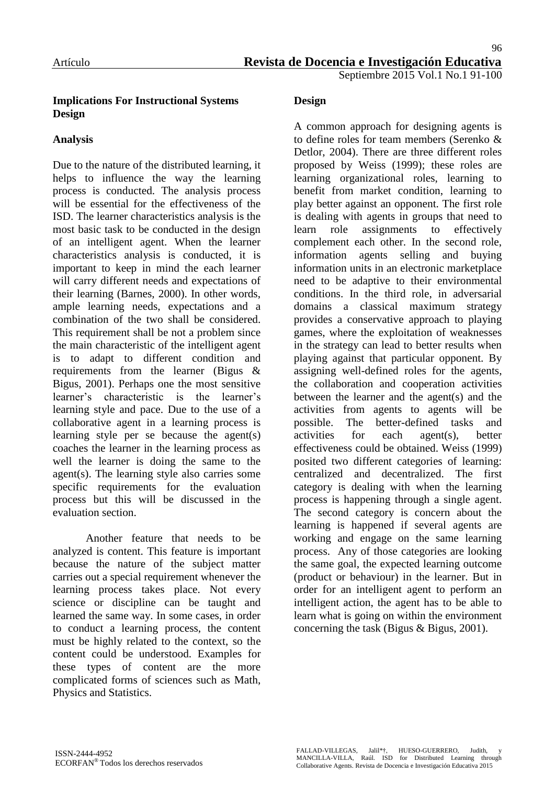## **Implications For Instructional Systems Design**

## **Analysis**

Due to the nature of the distributed learning, it helps to influence the way the learning process is conducted. The analysis process will be essential for the effectiveness of the ISD. The learner characteristics analysis is the most basic task to be conducted in the design of an intelligent agent. When the learner characteristics analysis is conducted, it is important to keep in mind the each learner will carry different needs and expectations of their learning (Barnes, 2000). In other words, ample learning needs, expectations and a combination of the two shall be considered. This requirement shall be not a problem since the main characteristic of the intelligent agent is to adapt to different condition and requirements from the learner (Bigus & Bigus, 2001). Perhaps one the most sensitive learner's characteristic is the learner's learning style and pace. Due to the use of a collaborative agent in a learning process is learning style per se because the agent(s) coaches the learner in the learning process as well the learner is doing the same to the agent(s). The learning style also carries some specific requirements for the evaluation process but this will be discussed in the evaluation section.

Another feature that needs to be analyzed is content. This feature is important because the nature of the subject matter carries out a special requirement whenever the learning process takes place. Not every science or discipline can be taught and learned the same way. In some cases, in order to conduct a learning process, the content must be highly related to the context, so the content could be understood. Examples for these types of content are the more complicated forms of sciences such as Math, Physics and Statistics.

# **Design**

A common approach for designing agents is to define roles for team members (Serenko & Detlor, 2004). There are three different roles proposed by Weiss (1999); these roles are learning organizational roles, learning to benefit from market condition, learning to play better against an opponent. The first role is dealing with agents in groups that need to learn role assignments to effectively complement each other. In the second role, information agents selling and buying information units in an electronic marketplace need to be adaptive to their environmental conditions. In the third role, in adversarial domains a classical maximum strategy provides a conservative approach to playing games, where the exploitation of weaknesses in the strategy can lead to better results when playing against that particular opponent. By assigning well-defined roles for the agents, the collaboration and cooperation activities between the learner and the agent(s) and the activities from agents to agents will be possible. The better-defined tasks and activities for each agent(s), better effectiveness could be obtained. Weiss (1999) posited two different categories of learning: centralized and decentralized. The first category is dealing with when the learning process is happening through a single agent. The second category is concern about the learning is happened if several agents are working and engage on the same learning process. Any of those categories are looking the same goal, the expected learning outcome (product or behaviour) in the learner. But in order for an intelligent agent to perform an intelligent action, the agent has to be able to learn what is going on within the environment concerning the task (Bigus & Bigus, 2001).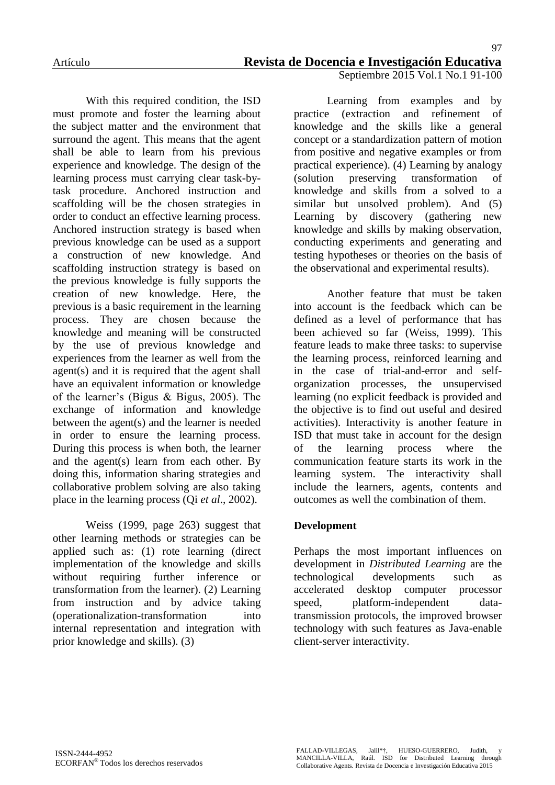With this required condition, the ISD must promote and foster the learning about the subject matter and the environment that surround the agent. This means that the agent shall be able to learn from his previous experience and knowledge. The design of the learning process must carrying clear task-bytask procedure. Anchored instruction and scaffolding will be the chosen strategies in order to conduct an effective learning process. Anchored instruction strategy is based when previous knowledge can be used as a support a construction of new knowledge. And scaffolding instruction strategy is based on the previous knowledge is fully supports the creation of new knowledge. Here, the previous is a basic requirement in the learning process. They are chosen because the knowledge and meaning will be constructed by the use of previous knowledge and experiences from the learner as well from the agent(s) and it is required that the agent shall have an equivalent information or knowledge of the learner"s (Bigus & Bigus, 2005). The exchange of information and knowledge between the agent(s) and the learner is needed in order to ensure the learning process. During this process is when both, the learner and the agent(s) learn from each other. By doing this, information sharing strategies and collaborative problem solving are also taking place in the learning process (Qi *et al*., 2002).

Weiss (1999, page 263) suggest that other learning methods or strategies can be applied such as: (1) rote learning (direct implementation of the knowledge and skills without requiring further inference or transformation from the learner). (2) Learning from instruction and by advice taking (operationalization-transformation into internal representation and integration with prior knowledge and skills). (3)

Learning from examples and by practice (extraction and refinement of knowledge and the skills like a general concept or a standardization pattern of motion from positive and negative examples or from practical experience). (4) Learning by analogy (solution preserving transformation of knowledge and skills from a solved to a similar but unsolved problem). And (5) Learning by discovery (gathering new knowledge and skills by making observation, conducting experiments and generating and testing hypotheses or theories on the basis of the observational and experimental results).

Another feature that must be taken into account is the feedback which can be defined as a level of performance that has been achieved so far (Weiss, 1999). This feature leads to make three tasks: to supervise the learning process, reinforced learning and in the case of trial-and-error and selforganization processes, the unsupervised learning (no explicit feedback is provided and the objective is to find out useful and desired activities). Interactivity is another feature in ISD that must take in account for the design of the learning process where the communication feature starts its work in the learning system. The interactivity shall include the learners, agents, contents and outcomes as well the combination of them.

## **Development**

Perhaps the most important influences on development in *Distributed Learning* are the technological developments such as accelerated desktop computer processor speed, platform-independent datatransmission protocols, the improved browser technology with such features as Java-enable client-server interactivity.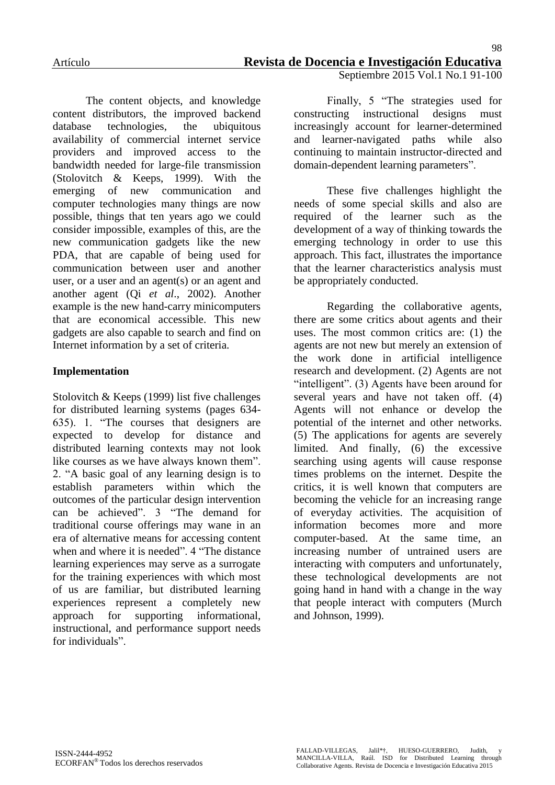The content objects, and knowledge content distributors, the improved backend database technologies, the ubiquitous availability of commercial internet service providers and improved access to the bandwidth needed for large-file transmission (Stolovitch & Keeps, 1999). With the emerging of new communication and computer technologies many things are now possible, things that ten years ago we could consider impossible, examples of this, are the new communication gadgets like the new PDA, that are capable of being used for communication between user and another user, or a user and an agent(s) or an agent and another agent (Qi *et al*., 2002). Another example is the new hand-carry minicomputers that are economical accessible. This new gadgets are also capable to search and find on Internet information by a set of criteria.

## **Implementation**

Stolovitch & Keeps (1999) list five challenges for distributed learning systems (pages 634- 635). 1. "The courses that designers are expected to develop for distance and distributed learning contexts may not look like courses as we have always known them". 2. "A basic goal of any learning design is to establish parameters within which the outcomes of the particular design intervention can be achieved". 3 "The demand for traditional course offerings may wane in an era of alternative means for accessing content when and where it is needed". 4 "The distance learning experiences may serve as a surrogate for the training experiences with which most of us are familiar, but distributed learning experiences represent a completely new approach for supporting informational, instructional, and performance support needs for individuals".

Septiembre 2015 Vol.1 No.1 91-100

Finally, 5 "The strategies used for constructing instructional designs must increasingly account for learner-determined and learner-navigated paths while also continuing to maintain instructor-directed and domain-dependent learning parameters".

These five challenges highlight the needs of some special skills and also are required of the learner such as the development of a way of thinking towards the emerging technology in order to use this approach. This fact, illustrates the importance that the learner characteristics analysis must be appropriately conducted.

Regarding the collaborative agents, there are some critics about agents and their uses. The most common critics are: (1) the agents are not new but merely an extension of the work done in artificial intelligence research and development. (2) Agents are not "intelligent". (3) Agents have been around for several years and have not taken off. (4) Agents will not enhance or develop the potential of the internet and other networks. (5) The applications for agents are severely limited. And finally, (6) the excessive searching using agents will cause response times problems on the internet. Despite the critics, it is well known that computers are becoming the vehicle for an increasing range of everyday activities. The acquisition of information becomes more and more computer-based. At the same time, an increasing number of untrained users are interacting with computers and unfortunately, these technological developments are not going hand in hand with a change in the way that people interact with computers (Murch and Johnson, 1999).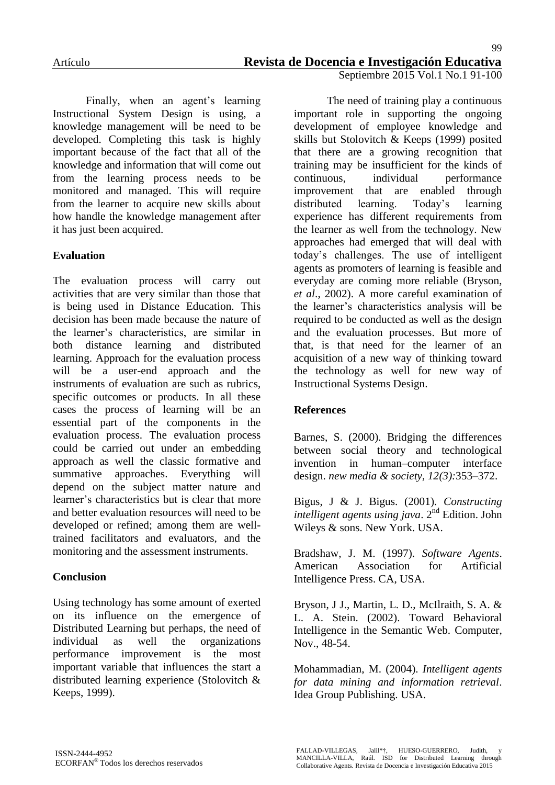Finally, when an agent's learning Instructional System Design is using, a knowledge management will be need to be developed. Completing this task is highly important because of the fact that all of the knowledge and information that will come out from the learning process needs to be monitored and managed. This will require from the learner to acquire new skills about how handle the knowledge management after it has just been acquired.

## **Evaluation**

The evaluation process will carry out activities that are very similar than those that is being used in Distance Education. This decision has been made because the nature of the learner"s characteristics, are similar in both distance learning and distributed learning. Approach for the evaluation process will be a user-end approach and the instruments of evaluation are such as rubrics, specific outcomes or products. In all these cases the process of learning will be an essential part of the components in the evaluation process. The evaluation process could be carried out under an embedding approach as well the classic formative and summative approaches. Everything will depend on the subject matter nature and learner's characteristics but is clear that more and better evaluation resources will need to be developed or refined; among them are welltrained facilitators and evaluators, and the monitoring and the assessment instruments.

## **Conclusion**

Using technology has some amount of exerted on its influence on the emergence of Distributed Learning but perhaps, the need of individual as well the organizations performance improvement is the most important variable that influences the start a distributed learning experience (Stolovitch & Keeps, 1999).

The need of training play a continuous important role in supporting the ongoing development of employee knowledge and skills but Stolovitch & Keeps (1999) posited that there are a growing recognition that training may be insufficient for the kinds of continuous, individual performance improvement that are enabled through distributed learning. Today"s learning experience has different requirements from the learner as well from the technology. New approaches had emerged that will deal with today"s challenges. The use of intelligent agents as promoters of learning is feasible and everyday are coming more reliable (Bryson, *et al*., 2002). A more careful examination of the learner"s characteristics analysis will be required to be conducted as well as the design and the evaluation processes. But more of that, is that need for the learner of an acquisition of a new way of thinking toward the technology as well for new way of Instructional Systems Design.

## **References**

Barnes, S. (2000). Bridging the differences between social theory and technological invention in human–computer interface design. *new media & society, 12(3):*353–372.

Bigus, J & J. Bigus. (2001). *Constructing intelligent agents using java.* 2<sup>nd</sup> Edition. John Wileys & sons. New York. USA.

Bradshaw, J. M. (1997). *Software Agents*. American Association for Artificial Intelligence Press. CA, USA.

Bryson, J J., Martin, L. D., McIlraith, S. A. & L. A. Stein. (2002). Toward Behavioral Intelligence in the Semantic Web. Computer, Nov., 48-54.

Mohammadian, M. (2004). *Intelligent agents for data mining and information retrieval*. Idea Group Publishing. USA.